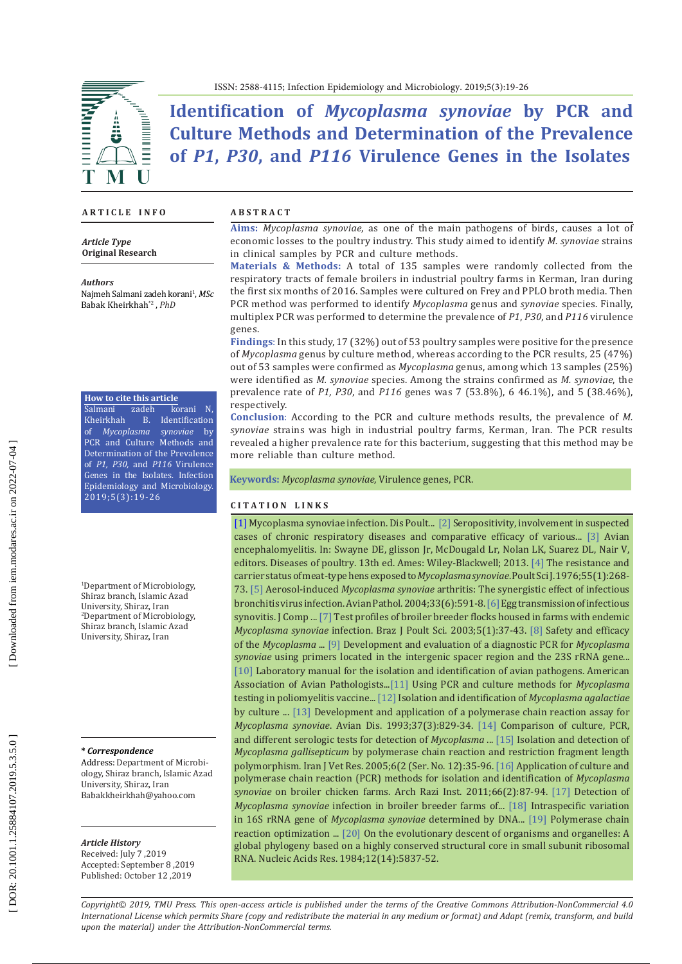

**Identification of** *Mycoplasma synoviae* **by PCR and Culture Methods and Determination of the Prevalence of** *P1***,** *P30***, and** *P116* **Virulence Genes in the Isolates** 

### **A R T I C L E I N F O**

*Article Type* **Original Research**

*Authors*

[Najmeh Salmani zadeh korani](http://journals.modares.ac.ir/search.php?sid=4&slc_lang=en&auth=salmani+zadeh+korani) 1 , *MSc* [Babak Kheirkhah](http://journals.modares.ac.ir/search.php?sid=4&slc_lang=en&auth=kheirkhah) \* 2 , *PhD*

### **How to cite this article**

[Salmani zadeh korani](http://journals.modares.ac.ir/search.php?sid=4&slc_lang=en&auth=salmani+zadeh+korani) N,<br>Kheirkhah B. Identification B. Identification of *Mycoplasma synoviae* by PCR and Culture Methods and Determination of the Prevalence of *P 1, P30,* and *P116* Virulence Genes in the Isolates. Infection Epidemiology and Microbiology. 2019;5(3):19-26

1 Department of Microbiology, Shiraz branch, Islamic Azad University, Shiraz, Iran<br><sup>2</sup>Department of Microbiology, Shiraz branch, Islamic Azad University, Shiraz, Iran

#### **\*** *Correspondence*

Address: Department of Microbi ology, Shiraz branch, Islamic Azad University, Shiraz, Iran Babakkheirkhah@yahoo.com

#### *Article History*

Received: July 7 ,2019 Accepted: September 8 ,2019 Published: October 12 ,2019

### **A B S T R A C T**

**Aims:** *Mycoplasma synoviae*, as one of the main pathogens of birds, causes a lot of economic losses to the poultry industry. This study aimed to identify *M. synoviae* strains in clinical samples by PCR and culture methods.

**Materials & Methods:** A total of 135 samples were randomly collected from the respiratory tracts of female broilers in industrial poultry farms in Kerman, Iran during the first six months of 2016. Samples were cultured on Frey and PPLO broth media. Then PCR method was performed to identify *Mycoplasma* genus and *synoviae* species. Finally, multiplex PCR was performed to determine the prevalence of *P1*, *P30*, and *P116* virulence genes.

**Findings** : In this study, 17 (32%) out of 53 poultry samples were positive for the presence of *Mycoplasma* genus by culture method, whereas according to the PCR results, 25 (47%) out of 53 samples were confirmed as *Mycoplasma* genus, among which 13 samples (25%) were identified as *M. synoviae* species. Among the strains confirmed as *M. synoviae*, the prevalence rate of *P1, P30*, and *P116* genes was 7 (53.8%), 6 46.1%), and 5 (38.46%), respectively.

**Conclusion** : According to the PCR and culture methods results, the prevalence of *M. synoviae* strains was high in industrial poultry farms, Kerman, Iran. The PCR results revealed a higher prevalence rate for this bacterium, suggesting that this method may be more reliable than culture method.

**Keywords:** *Mycoplasma synoviae*, Virulence genes, PCR.

#### **C I T A T I O N L I N K S**

[\[1\] M](https://s3.amazonaws.com/academia.edu.documents/58422112/Diseases_of_Poultry_Y_M_saif.pdf?response-content-disposition=inline%3B%20filename%3DDiseases_of_Poultry_Y_M_saif.pdf.pdf&X-Amz-Algorithm=AWS4-HMAC-SHA256&X-Amz-Credential=AKIAIWOWYYGZ2Y53UL3A%2F201\
91104%2Fus-east-1%2Fs3%2Faws4_request&X-Amz-Date=20191104T072539Z&X-Amz-Expires=3600&X-Amz-SignedHeaders=host&X-Amz-Signature=9f6dadddb847d883d1eff9556d52e37eaf3c42d16c92166f21a255fd6ddd946f#page=870)ycoplasma synoviae infection. Dis Poult... [\[2\]](mailto:https://www.researchgate.net/publication/324079517_Seropositivity_Involvement_in_Suspected_Cases_of_Chronic_Respiratory_Diseases_and_Comparative_Efficacy_of_Various_Sero-Diagnostic_Tests_of_Mycoplasma_Gallisepticum?subject=) Seropositivity, involvement in suspected cases of chronic respiratory diseases and comparative efficacy of various... [\[3\]](mailto:https://www.wiley.com/en-ae/Diseases%2Bof%2BPoultry%2C%2B13th%2BEdition-p-9781118719732?subject=) Avian encephalomyelitis. In: Swayne DE, glisson Jr, McDougald Lr, Nolan LK, Suarez DL, Nair V, editors. Diseases of poultry. 13th ed. Ames: Wiley-Blackwell; 2013. [\[4\]](mailto:https://www.ncbi.nlm.nih.gov/pubmed/934989?subject=) The resistance and carrier status of meat-type hens exposed to *Mycoplasma synoviae*. Poult Sci J. 1976;55(1):268- 73. [\[5\]](mailto:https://www.ncbi.nlm.nih.gov/pubmed/15763728?subject=) Aerosol-induced *Mycoplasma synoviae* arthritis: The synergistic effect of infectious bronchitis virus infection. Avian Pathol. 2004;33(6):591-8. [\[6\]](mailto:https://www.ncbi.nlm.nih.gov/pubmed/13690871?subject=) Egg transmission of infectious synovitis. J Comp ... [\[7\]](mailto:http://www.scielo.br/scielo.php%3Fscript%3Dsci_arttext%26pid%3DS1516-635X2003000100005?subject=) Test profiles of broiler breeder flocks housed in farms with endemic *Mycoplasma synoviae* infection. Braz J Poult Sci. 2003;5(1):37-43. [\[8\]](mailto:https://www.ncbi.nlm.nih.gov/pubmed/17626482?subject=) Safety and efficacy of the *Mycoplasma* ... [\[9\]](mailto:https://www.ncbi.nlm.nih.gov/pubmed/16899346?subject=) Development and evaluation of a diagnostic PCR for *Mycoplasma synoviae* using primers located in the intergenic spacer region and the 23S rRNA gene... [\[10\]](mailto:http://agris.fao.org/agris-search/search.do%3FrecordID%3DUS201300061417?subject=) Laboratory manual for the isolation and identification of avian pathogens. American Association of Avian Pathologists...[\[11\]](mailto:https://www.sid.ir/en/journal/ViewPaper.aspx%3Fid%3D176377?subject=) Using PCR and culture methods for *Mycoplasma* testing in poliomyelitis vaccine... [\[12\]](mailto:https://www.ncbi.nlm.nih.gov/pubmed/30315697?subject=) Isolation and identification of *Mycoplasma agalactiae* by culture ... [\[13\]](mailto:https://www.ncbi.nlm.nih.gov/pubmed/7504919?subject=) Development and application of a polymerase chain reaction assay for *Mycoplasma synoviae*. Avian Dis. 1993;37(3):829-34. [\[14\]](mailto:https://www.ncbi.nlm.nih.gov/pubmed/16094832?subject=) Comparison of culture, PCR, and different serologic tests for detection of *Mycoplasma* ... [\[15\]](mailto:https://www.sid.ir/en/journal/ViewPaper.aspx%3FID%3D41043?subject=) Isolation and detection of *Mycoplasma gallisepticum* by polymerase chain reaction and restriction fragment length polymorphism. Iran J Vet Res. 2005;6(2 (Ser. No. 12):35-96. [\[16\]](mailto:http://archrazi.areeo.ac.ir/article_103870.html?subject=) Application of culture and polymerase chain reaction (PCR) methods for isolation and identification of *Mycoplasma synoviae* on broiler chicken farms. Arch Razi Inst. 2011;66(2):87-94. [\[17\]](mailto:http://archrazi.areeo.ac.ir/article_103853.html?subject=) Detection of *Mycoplasma synoviae* infection in broiler breeder farms of... [\[18\]](mailto:https://www.ncbi.nlm.nih.gov/pubmed/18775565?subject=) Intraspecific variation in 16S rRNA gene of *Mycoplasma synoviae* determined by DNA... [\[19\]](mailto:https://www.ncbi.nlm.nih.gov/pubmed/8713037?subject=) Polymerase chain reaction optimization ... [\[20\]](mailto:https://www.ncbi.nlm.nih.gov/pmc/articles/PMC320035/?subject=) On the evolutionary descent of organisms and organelles: A global phylogeny based on a highly conserved structural core in small subunit ribosomal RNA. Nucleic Acids Res. 1984;12(14):5837-52.

*Copyright© 2019, TMU Press. This open-access article is published under the terms of the Creative Commons Attribution-NonCommercial 4.0 International License which permits Share (copy and redistribute the material in any medium or format) and Adapt (remix, transform, and build upon the material) under the Attribution-NonCommercial terms.*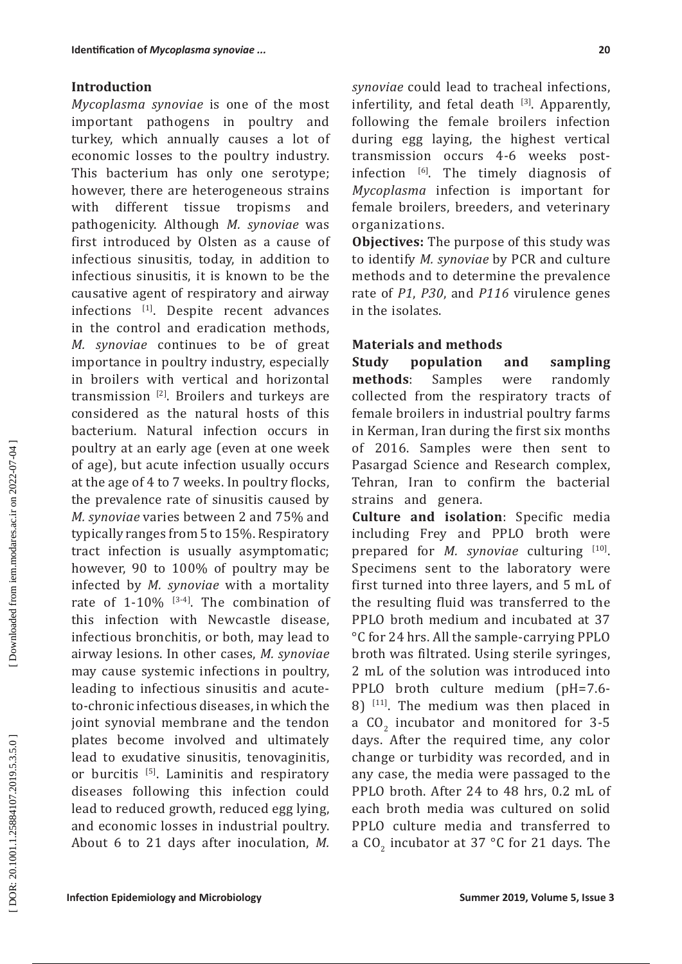## **Introduction**

*Mycoplasma synoviae* is one of the most important pathogens in poultry and turkey, which annually causes a lot of economic losses to the poultry industry. This bacterium has only one serotype; however, there are heterogeneous strains<br>with different tissue tropisms and different tissue tropisms and pathogenicity. Although *M. synoviae* was first introduced by Olsten as a cause of infectious sinusitis, today, in addition to infectious sinusitis, it is known to be the causative agent of respiratory and airway infections [1]. Despite recent advances in the control and eradication methods, *M. synoviae* continues to be of great importance in poultry industry, especially in broilers with vertical and horizontal transmission [2]. Broilers and turkeys are considered as the natural hosts of this bacterium. Natural infection occurs in poultry at an early age (even at one week of age), but acute infection usually occurs at the age of 4 to 7 weeks. In poultry flocks, the prevalence rate of sinusitis caused by *M. synoviae* varies between 2 and 75% and typically ranges from 5 to 15%. Respiratory tract infection is usually asymptomatic; however, 90 to 100% of poultry may be infected by *M. synoviae* with a mortality rate of 1-10%  $[3-4]$ . The combination of this infection with Newcastle disease, infectious bronchitis, or both, may lead to airway lesions. In other cases, *M. synoviae* may cause systemic infections in poultry, leading to infectious sinusitis and acuteto-chronic infectious diseases, in which the joint synovial membrane and the tendon plates become involved and ultimately lead to exudative sinusitis, tenovaginitis, or burcitis <sup>[5]</sup>. Laminitis and respiratory diseases following this infection could lead to reduced growth, reduced egg lying, and economic losses in industrial poultry. About 6 to 21 days after inoculation, *M.*  **20**

infertility, and fetal death  $[3]$ . Apparently, following the female broilers infection during egg laying, the highest vertical transmission occurs 4-6 weeks postinfection  $[6]$ . The timely diagnosis of *Mycoplasma* infection is important for female broilers, breeders, and veterinary organizations.

**Objectives:** The purpose of this study was to identify *M. synoviae* by PCR and culture methods and to determine the prevalence rate of *P1*, *P30*, and *P116* virulence genes in the isolates.

## **Materials and methods**

**Study population and sampling methods**: Samples were randomly collected from the respiratory tracts of female broilers in industrial poultry farms in Kerman, Iran during the first six months of 2016. Samples were then sent to Pasargad Science and Research complex, Tehran, Iran to confirm the bacterial strains and genera.

**Culture and isolation**: Specific media including Frey and PPLO broth were prepared for *M. synoviae* culturing [10]. Specimens sent to the laboratory were first turned into three layers, and 5 mL of the resulting fluid was transferred to the PPLO broth medium and incubated at 37 °C for 24 hrs. All the sample-carrying PPLO broth was filtrated. Using sterile syringes, 2 mL of the solution was introduced into PPLO broth culture medium (pH=7.6-  $8)$  <sup>[11]</sup>. The medium was then placed in a  $CO<sub>2</sub>$  incubator and monitored for 3-5 days. After the required time, any color change or turbidity was recorded, and in any case, the media were passaged to the PPLO broth. After 24 to 48 hrs, 0.2 mL of each broth media was cultured on solid PPLO culture media and transferred to a  $CO_2$  incubator at 37 °C for 21 days. The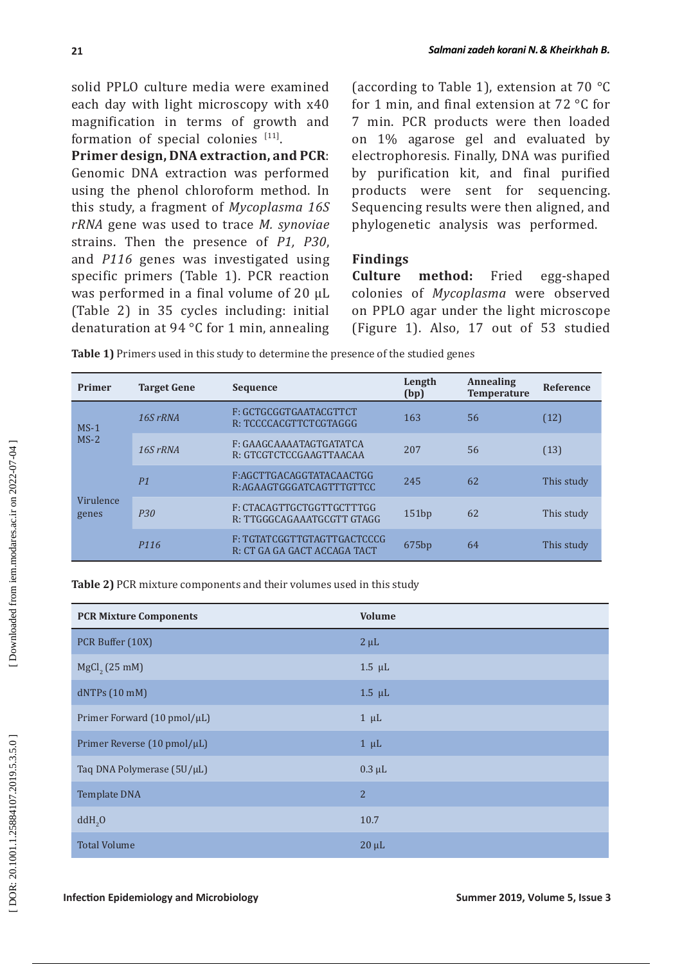solid PPLO culture media were examined each day with light microscopy with x40 magnification in terms of growth and formation of special colonies [11].

**Primer design, DNA extraction, and PCR**: Genomic DNA extraction was performed using the phenol chloroform method. In this study, a fragment of *Mycoplasma 16S rRNA* gene was used to trace *M. synoviae* strains. Then the presence of *P1, P30*, and *P116* genes was investigated using specific primers (Table 1). PCR reaction was performed in a final volume of 20 μL (Table 2) in 35 cycles including: initial denaturation at 94 °C for 1 min, annealing (according to Table 1), extension at 70 °C for 1 min, and final extension at 72 °C for 7 min. PCR products were then loaded on 1% agarose gel and evaluated by electrophoresis. Finally, DNA was purified by purification kit, and final purified products were sent for sequencing. Sequencing results were then aligned, and phylogenetic analysis was performed.

# **Findings**

**Culture method:** Fried egg-shaped colonies of *Mycoplasma* were observed on PPLO agar under the light microscope (Figure 1). Also, 17 out of 53 studied

| Table 1) Primers used in this study to determine the presence of the studied genes |
|------------------------------------------------------------------------------------|
|                                                                                    |

| <b>Primer</b>      | <b>Target Gene</b> | <b>Sequence</b>                                             | Length<br>(bp) | <b>Annealing</b><br><b>Temperature</b> | <b>Reference</b> |
|--------------------|--------------------|-------------------------------------------------------------|----------------|----------------------------------------|------------------|
| $MS-1$             | 16S rRNA           | F: GCTGCGGTGAATACGTTCT<br>R: TCCCCACGTTCTCGTAGGG            | 163            | 56                                     | (12)             |
| $MS-2$             | 16S rRNA           | F: GAAGCAAAATAGTGATATCA<br>R: GTCGTCTCCGAAGTTAACAA          | 207            | 56                                     | (13)             |
|                    | P <sub>1</sub>     | F:AGCTTGACAGGTATACAACTGG<br>R:AGAAGTGGGATCAGTTTGTTCC        | 245            | 62                                     | This study       |
| Virulence<br>genes | P <sub>30</sub>    | F: CTACAGTTGCTGGTTGCTTTGG<br>R: TTGGGCAGAAATGCGTT GTAGG     | 151bp          | 62                                     | This study       |
|                    | P <sub>116</sub>   | F: TGTATCGGTTGTAGTTGACTCCCG<br>R: CT GA GA GACT ACCAGA TACT | 675bp          | 64                                     | This study       |

**Table 2)** PCR mixture components and their volumes used in this study

| <b>PCR Mixture Components</b> | <b>Volume</b> |
|-------------------------------|---------------|
| PCR Buffer (10X)              | $2 \mu L$     |
| MgCl <sub>2</sub> (25 mM)     | $1.5 \mu L$   |
| dNTPs (10 mM)                 | $1.5 \mu L$   |
| Primer Forward (10 pmol/µL)   | $1 \mu L$     |
| Primer Reverse (10 pmol/µL)   | $1 \mu L$     |
| Taq DNA Polymerase (5U/µL)    | $0.3 \mu L$   |
| <b>Template DNA</b>           | 2             |
| ddH <sub>2</sub> O            | 10.7          |
| <b>Total Volume</b>           | $20 \mu L$    |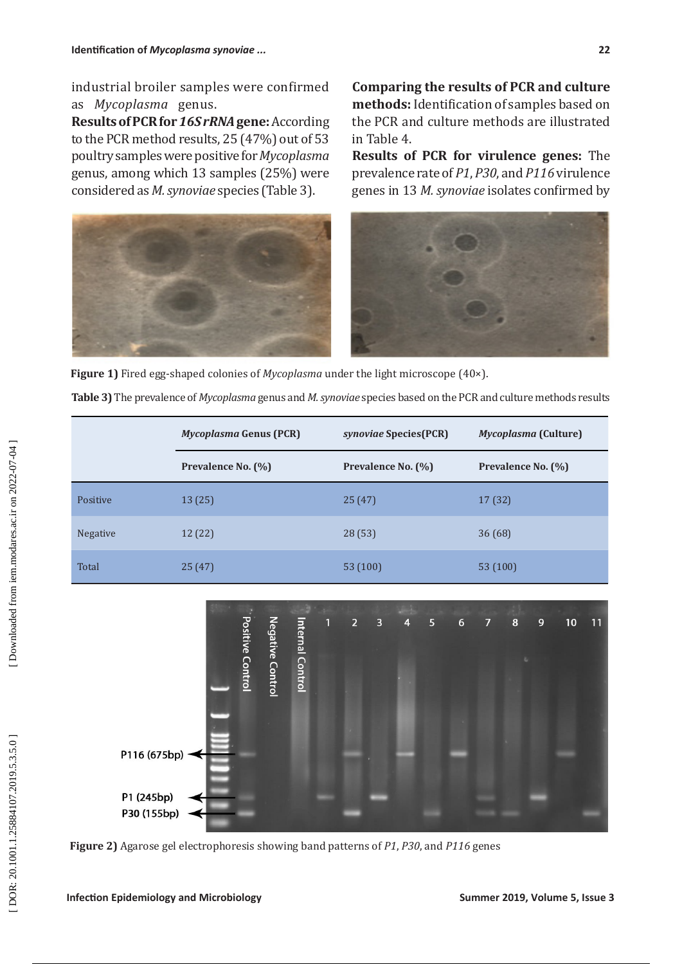industrial broiler samples were confirmed as *Mycoplasma* genus.

**Results of PCR for** *16S rRNA* **gene:** According to the PCR method results, 25 (47%) out of 53 poultry samples were positive for *Mycoplasma* genus, among which 13 samples (25%) were considered as *M. synoviae* species (Table 3).

**Comparing the results of PCR and culture methods:** Identification of samples based on the PCR and culture methods are illustrated in Table 4.

**Results of PCR for virulence genes:** The prevalence rate of *P1*, *P30*, and *P116* virulence genes in 13 *M. synoviae* isolates confirmed by



**Figure 1)** Fired egg-shaped colonies of *Mycoplasma* under the light microscope (40×).

**Table 3)** The prevalence of *Mycoplasma* genus and *M. synoviae* species based on the PCR and culture methods results

|                 | <i>Mycoplasma</i> Genus (PCR) | <i>synoviae</i> Species(PCR) | <i>Mycoplasma</i> (Culture) |
|-----------------|-------------------------------|------------------------------|-----------------------------|
|                 | Prevalence No. (%)            | Prevalence No. (%)           | Prevalence No. (%)          |
| Positive        | 13(25)                        | 25(47)                       | 17 (32)                     |
| <b>Negative</b> | 12 (22)                       | 28(53)                       | 36(68)                      |
| Total           | 25(47)                        | 53 (100)                     | 53 (100)                    |



**Figure 2)** Agarose gel electrophoresis showing band patterns of *P1*, *P30*, and *P116* genes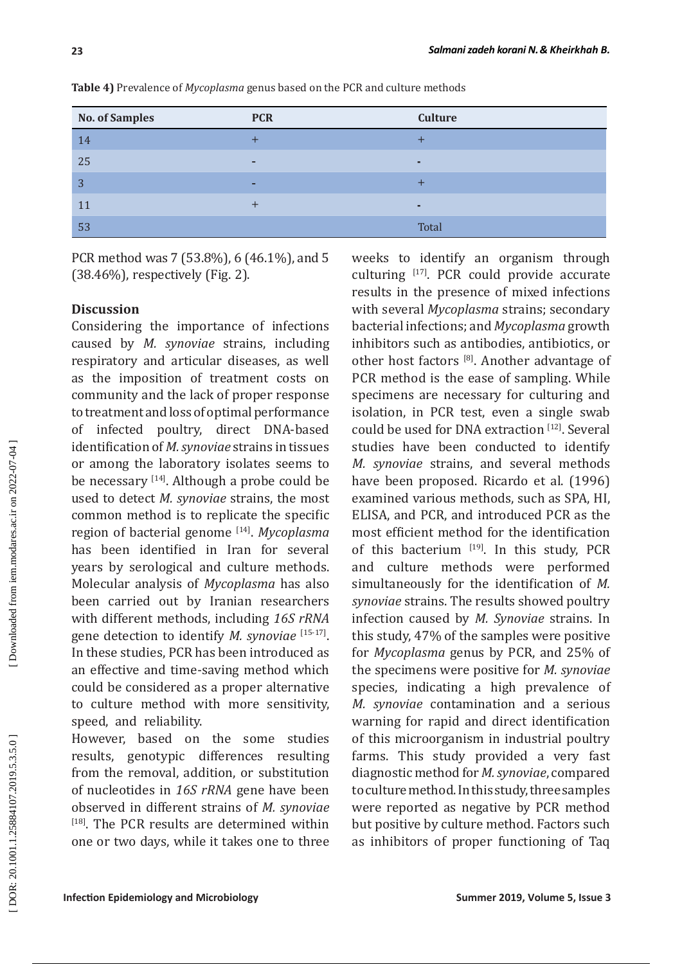| <b>No. of Samples</b> | <b>PCR</b>               | <b>Culture</b> |
|-----------------------|--------------------------|----------------|
| 14                    |                          |                |
| 25                    | $\overline{\phantom{0}}$ | п              |
| 3                     | -                        |                |
| 11                    |                          | ٠              |
| 53                    |                          | Total          |

**Table 4)** Prevalence of *Mycoplasma* genus based on the PCR and culture methods

PCR method was 7 (53.8%), 6 (46.1%), and 5 (38.46%), respectively (Fig. 2).

## **Discussion**

Considering the importance of infections caused by *M. synoviae* strains, including respiratory and articular diseases, as well as the imposition of treatment costs on community and the lack of proper response to treatment and loss of optimal performance of infected poultry, direct DNA-based identification of *M. synoviae* strains in tissues or among the laboratory isolates seems to be necessary <a>[14]</a>. Although a probe could be used to detect *M. synoviae* strains, the most common method is to replicate the specific region of bacterial genome [14]. *Mycoplasma* has been identified in Iran for several years by serological and culture methods. Molecular analysis of *Mycoplasma* has also been carried out by Iranian researchers with different methods, including *16S rRNA* gene detection to identify *M. synoviae* [15-17]. In these studies, PCR has been introduced as an effective and time-saving method which could be considered as a proper alternative to culture method with more sensitivity, speed, and reliability.

However, based on the some studies results, genotypic differences resulting from the removal, addition, or substitution of nucleotides in *16S rRNA* gene have been observed in different strains of *M. synoviae* <sup>[18]</sup>. The PCR results are determined within one or two days, while it takes one to three weeks to identify an organism through culturing [17]. PCR could provide accurate results in the presence of mixed infections with several *Mycoplasma* strains; secondary bacterial infections; and *Mycoplasma* growth inhibitors such as antibodies, antibiotics, or other host factors [8]. Another advantage of PCR method is the ease of sampling. While specimens are necessary for culturing and isolation, in PCR test, even a single swab could be used for DNA extraction [12]. Several studies have been conducted to identify *M. synoviae* strains, and several methods have been proposed. Ricardo et al. (1996) examined various methods, such as SPA, HI, ELISA, and PCR, and introduced PCR as the most efficient method for the identification of this bacterium [19]. In this study, PCR and culture methods were performed simultaneously for the identification of *M. synoviae* strains. The results showed poultry infection caused by *M. Synoviae* strains. In this study, 47% of the samples were positive for *Mycoplasma* genus by PCR, and 25% of the specimens were positive for *M. synoviae* species, indicating a high prevalence of *M. synoviae* contamination and a serious warning for rapid and direct identification of this microorganism in industrial poultry farms. This study provided a very fast diagnostic method for *M. synoviae*, compared to culture method. In this study, three samples were reported as negative by PCR method but positive by culture method. Factors such as inhibitors of proper functioning of Taq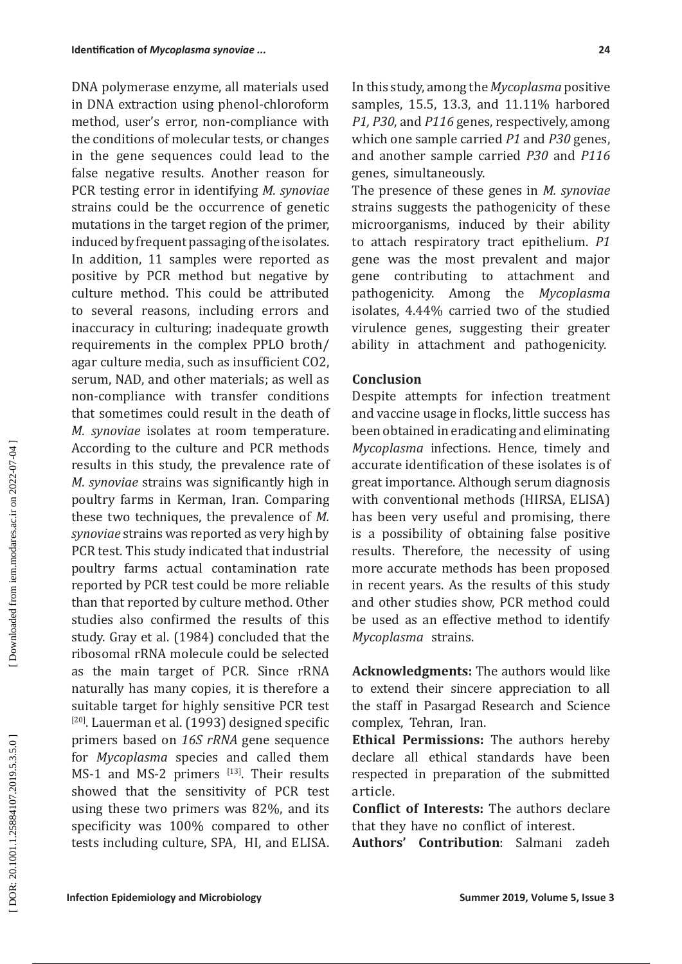DNA polymerase enzyme, all materials used in DNA extraction using phenol-chloroform method, user's error, non-compliance with the conditions of molecular tests, or changes in the gene sequences could lead to the false negative results. Another reason for PCR testing error in identifying *M. synoviae* strains could be the occurrence of genetic mutations in the target region of the primer, induced by frequent passaging of the isolates. In addition, 11 samples were reported as positive by PCR method but negative by culture method. This could be attributed to several reasons, including errors and inaccuracy in culturing; inadequate growth requirements in the complex PPLO broth/ agar culture media, such as insufficient CO2, serum, NAD, and other materials; as well as non-compliance with transfer conditions that sometimes could result in the death of *M. synoviae* isolates at room temperature. According to the culture and PCR methods results in this study, the prevalence rate of *M. synoviae* strains was significantly high in poultry farms in Kerman, Iran. Comparing these two techniques, the prevalence of *M. synoviae* strains was reported as very high by PCR test. This study indicated that industrial poultry farms actual contamination rate reported by PCR test could be more reliable than that reported by culture method. Other studies also confirmed the results of this study. Gray et al. (1984) concluded that the ribosomal rRNA molecule could be selected as the main target of PCR. Since rRNA naturally has many copies, it is therefore a suitable target for highly sensitive PCR test  $[20]$ . Lauerman et al. (1993) designed specific primers based on *16S rRNA* gene sequence for *Mycoplasma* species and called them MS-1 and MS-2 primers [13]. Their results showed that the sensitivity of PCR test using these two primers was 82%, and its specificity was 100% compared to other tests including culture, SPA, HI, and ELISA. In this study, among the *Mycoplasma* positive samples, 15.5, 13.3, and 11.11% harbored *P1, P30*, and *P116* genes, respectively, among which one sample carried *P1* and *P30* genes, and another sample carried *P30* and *P116* genes, simultaneously.

The presence of these genes in *M. synoviae* strains suggests the pathogenicity of these microorganisms, induced by their ability to attach respiratory tract epithelium. *P1*  gene was the most prevalent and major gene contributing to attachment and<br>pathogenicity. Among the *Mycoplasma* pathogenicity. Among isolates, 4.44% carried two of the studied virulence genes, suggesting their greater ability in attachment and pathogenicity.

## **Conclusion**

Despite attempts for infection treatment and vaccine usage in flocks, little success has been obtained in eradicating and eliminating *Mycoplasma* infections. Hence, timely and accurate identification of these isolates is of great importance. Although serum diagnosis with conventional methods (HIRSA, ELISA) has been very useful and promising, there is a possibility of obtaining false positive results. Therefore, the necessity of using more accurate methods has been proposed in recent years. As the results of this study and other studies show, PCR method could be used as an effective method to identify *Mycoplasma* strains.

**Acknowledgments:** The authors would like to extend their sincere appreciation to all the staff in Pasargad Research and Science complex, Tehran, Iran.

**Ethical Permissions:** The authors hereby declare all ethical standards have been respected in preparation of the submitted article.

**Conflict of Interests:** The authors declare that they have no conflict of interest.

**Authors' Contribution**: Salmani zadeh

Downloaded from iem.modares.ac.ir on 2022-07-04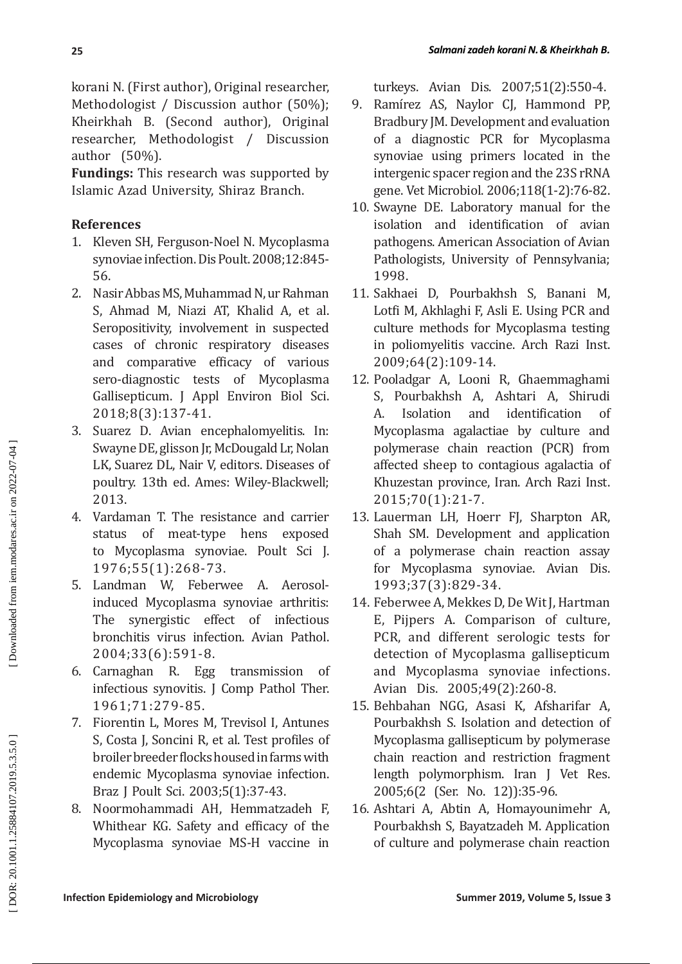korani N. (First author), Original researcher, Methodologist / Discussion author (50%); Kheirkhah B. (Second author), Original researcher, Methodologist / Discussion author (50%).

**Fundings:** This research was supported by Islamic Azad University, Shiraz Branch.

# **References**

- 1. Kleven SH, Ferguson-Noel N. Mycoplasma synoviae infection. Dis Poult. 2008;12:845- 56.
- 2. Nasir Abbas MS, Muhammad N, ur Rahman S, Ahmad M, Niazi AT, Khalid A, et al. Seropositivity, involvement in suspected cases of chronic respiratory diseases and comparative efficacy of various sero-diagnostic tests of Mycoplasma Gallisepticum. J Appl Environ Biol Sci. 2018;8(3):137-41.
- 3. Suarez D. Avian encephalomyelitis. In: Swayne DE, glisson Jr, McDougald Lr, Nolan LK, Suarez DL, Nair V, editors. Diseases of poultry. 13th ed. Ames: Wiley-Blackwell; 2013.
- 4. Vardaman T. The resistance and carrier status of meat-type hens exposed to Mycoplasma synoviae. Poult Sci J. 1976;55(1):268-73.
- 5. Landman W, Feberwee A. Aerosolinduced Mycoplasma synoviae arthritis: The synergistic effect of infectious bronchitis virus infection. Avian Pathol. 2004;33(6):591-8.
- 6. Carnaghan R. Egg transmission of infectious synovitis. J Comp Pathol Ther. 1961;71:279-85.
- 7. Fiorentin L, Mores M, Trevisol I, Antunes S, Costa J, Soncini R, et al. Test profiles of broiler breeder flocks housed in farms with endemic Mycoplasma synoviae infection. Braz J Poult Sci. 2003;5(1):37-43.
- 8. Noormohammadi AH, Hemmatzadeh F, Whithear KG. Safety and efficacy of the Mycoplasma synoviae MS-H vaccine in

turkeys. Avian Dis. 2007;51(2):550-4.

- 9. Ramírez AS, Naylor CJ, Hammond PP, Bradbury JM. Development and evaluation of a diagnostic PCR for Mycoplasma synoviae using primers located in the intergenic spacer region and the 23S rRNA gene. Vet Microbiol. 2006;118(1-2):76-82.
- 10. Swayne DE. Laboratory manual for the isolation and identification of avian pathogens. American Association of Avian Pathologists, University of Pennsylvania; 1998 .
- 11. Sakhaei D, Pourbakhsh S, Banani M, Lotfi M, Akhlaghi F, Asli E. Using PCR and culture methods for Mycoplasma testing in poliomyelitis vaccine. Arch Razi Inst. 2009;64(2):109-14.
- 12. Pooladgar A, Looni R, Ghaemmaghami S, Pourbakhsh A, Ashtari A, Shirudi<br>A. Isolation and identification of A. Isolation and identification of Mycoplasma agalactiae by culture and polymerase chain reaction (PCR) from affected sheep to contagious agalactia of Khuzestan province, Iran. Arch Razi Inst. 2015;70(1):21-7.
- 13. Lauerman LH, Hoerr FJ, Sharpton AR, Shah SM. Development and application of a polymerase chain reaction assay for Mycoplasma synoviae. Avian Dis. 1993;37(3):829-34.
- 14. Feberwee A, Mekkes D, De Wit J, Hartman E, Pijpers A. Comparison of culture, PCR, and different serologic tests for detection of Mycoplasma gallisepticum and Mycoplasma synoviae infections. Avian Dis. 2005;49(2):260-8.
- 15. Behbahan NGG, Asasi K, Afsharifar A, Pourbakhsh S. Isolation and detection of Mycoplasma gallisepticum by polymerase chain reaction and restriction fragment length polymorphism. Iran J Vet Res. 2005;6(2 (Ser. No. 12)):35-96.
- 16. Ashtari A, Abtin A, Homayounimehr A, Pourbakhsh S, Bayatzadeh M. Application of culture and polymerase chain reaction

DOR: 20.1001.1.25884107.2019.5.3.5.0